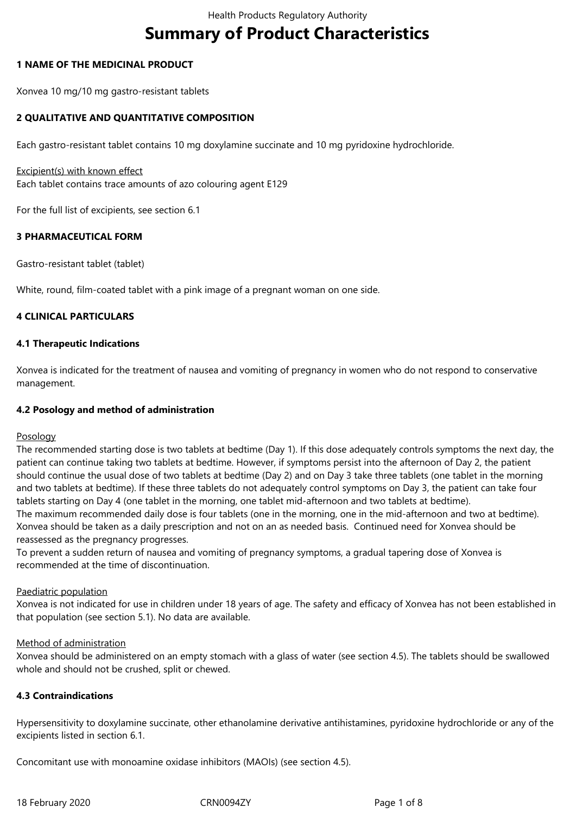# **Summary of Product Characteristics**

## **1 NAME OF THE MEDICINAL PRODUCT**

Xonvea 10 mg/10 mg gastro-resistant tablets

## **2 QUALITATIVE AND QUANTITATIVE COMPOSITION**

Each gastro-resistant tablet contains 10 mg doxylamine succinate and 10 mg pyridoxine hydrochloride.

#### Excipient(s) with known effect

Each tablet contains trace amounts of azo colouring agent E129

For the full list of excipients, see section 6.1

## **3 PHARMACEUTICAL FORM**

Gastro-resistant tablet (tablet)

White, round, film-coated tablet with a pink image of a pregnant woman on one side.

## **4 CLINICAL PARTICULARS**

## **4.1 Therapeutic Indications**

Xonvea is indicated for the treatment of nausea and vomiting of pregnancy in women who do not respond to conservative management.

## **4.2 Posology and method of administration**

#### Posology

The recommended starting dose is two tablets at bedtime (Day 1). If this dose adequately controls symptoms the next day, the patient can continue taking two tablets at bedtime. However, if symptoms persist into the afternoon of Day 2, the patient should continue the usual dose of two tablets at bedtime (Day 2) and on Day 3 take three tablets (one tablet in the morning and two tablets at bedtime). If these three tablets do not adequately control symptoms on Day 3, the patient can take four tablets starting on Day 4 (one tablet in the morning, one tablet mid-afternoon and two tablets at bedtime). The maximum recommended daily dose is four tablets (one in the morning, one in the mid-afternoon and two at bedtime). Xonvea should be taken as a daily prescription and not on an as needed basis. Continued need for Xonvea should be reassessed as the pregnancy progresses.

To prevent a sudden return of nausea and vomiting of pregnancy symptoms, a gradual tapering dose of Xonvea is recommended at the time of discontinuation.

#### Paediatric population

Xonvea is not indicated for use in children under 18 years of age. The safety and efficacy of Xonvea has not been established in that population (see section 5.1). No data are available.

#### Method of administration

Xonvea should be administered on an empty stomach with a glass of water (see section 4.5). The tablets should be swallowed whole and should not be crushed, split or chewed.

## **4.3 Contraindications**

Hypersensitivity to doxylamine succinate, other ethanolamine derivative antihistamines, pyridoxine hydrochloride or any of the excipients listed in section 6.1.

Concomitant use with monoamine oxidase inhibitors (MAOIs) (see section 4.5).

18 February 2020 CRN0094ZY Page 1 of 8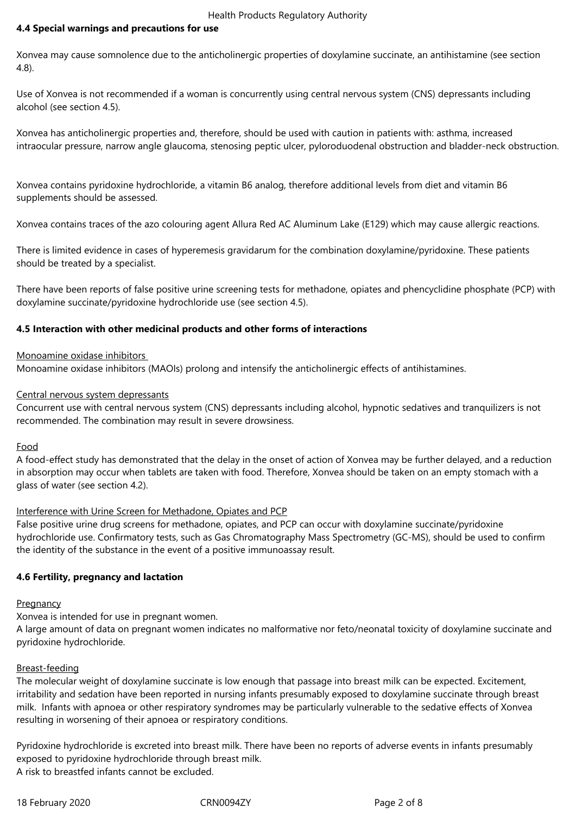# **4.4 Special warnings and precautions for use**

Xonvea may cause somnolence due to the anticholinergic properties of doxylamine succinate, an antihistamine (see section 4.8).

Use of Xonvea is not recommended if a woman is concurrently using central nervous system (CNS) depressants including alcohol (see section 4.5).

Xonvea has anticholinergic properties and, therefore, should be used with caution in patients with: asthma, increased intraocular pressure, narrow angle glaucoma, stenosing peptic ulcer, pyloroduodenal obstruction and bladder-neck obstruction.

Xonvea contains pyridoxine hydrochloride, a vitamin B6 analog, therefore additional levels from diet and vitamin B6 supplements should be assessed.

Xonvea contains traces of the azo colouring agent Allura Red AC Aluminum Lake (E129) which may cause allergic reactions.

There is limited evidence in cases of hyperemesis gravidarum for the combination doxylamine/pyridoxine. These patients should be treated by a specialist.

There have been reports of false positive urine screening tests for methadone, opiates and phencyclidine phosphate (PCP) with doxylamine succinate/pyridoxine hydrochloride use (see section 4.5).

## **4.5 Interaction with other medicinal products and other forms of interactions**

## Monoamine oxidase inhibitors

Monoamine oxidase inhibitors (MAOIs) prolong and intensify the anticholinergic effects of antihistamines.

#### Central nervous system depressants

Concurrent use with central nervous system (CNS) depressants including alcohol, hypnotic sedatives and tranquilizers is not recommended. The combination may result in severe drowsiness.

#### Food

A food-effect study has demonstrated that the delay in the onset of action of Xonvea may be further delayed, and a reduction in absorption may occur when tablets are taken with food. Therefore, Xonvea should be taken on an empty stomach with a glass of water (see section 4.2).

#### Interference with Urine Screen for Methadone, Opiates and PCP

False positive urine drug screens for methadone, opiates, and PCP can occur with doxylamine succinate/pyridoxine hydrochloride use. Confirmatory tests, such as Gas Chromatography Mass Spectrometry (GC-MS), should be used to confirm the identity of the substance in the event of a positive immunoassay result.

# **4.6 Fertility, pregnancy and lactation**

#### **Pregnancy**

Xonvea is intended for use in pregnant women.

A large amount of data on pregnant women indicates no malformative nor feto/neonatal toxicity of doxylamine succinate and pyridoxine hydrochloride.

#### Breast-feeding

The molecular weight of doxylamine succinate is low enough that passage into breast milk can be expected. Excitement, irritability and sedation have been reported in nursing infants presumably exposed to doxylamine succinate through breast milk. Infants with apnoea or other respiratory syndromes may be particularly vulnerable to the sedative effects of Xonvea resulting in worsening of their apnoea or respiratory conditions.

Pyridoxine hydrochloride is excreted into breast milk. There have been no reports of adverse events in infants presumably exposed to pyridoxine hydrochloride through breast milk. A risk to breastfed infants cannot be excluded.

18 February 2020 CRN0094ZY Page 2 of 8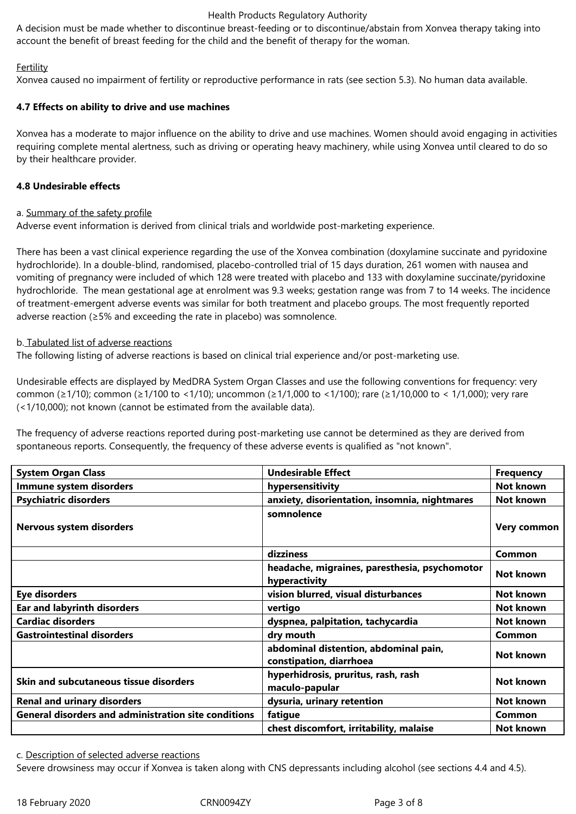#### Health Products Regulatory Authority

A decision must be made whether to discontinue breast-feeding or to discontinue/abstain from Xonvea therapy taking into account the benefit of breast feeding for the child and the benefit of therapy for the woman.

## **Fertility**

Xonvea caused no impairment of fertility or reproductive performance in rats (see section 5.3). No human data available.

## **4.7 Effects on ability to drive and use machines**

Xonvea has a moderate to major influence on the ability to drive and use machines. Women should avoid engaging in activities requiring complete mental alertness, such as driving or operating heavy machinery, while using Xonvea until cleared to do so by their healthcare provider.

## **4.8 Undesirable effects**

#### a. Summary of the safety profile

Adverse event information is derived from clinical trials and worldwide post-marketing experience.

There has been a vast clinical experience regarding the use of the Xonvea combination (doxylamine succinate and pyridoxine hydrochloride). In a double-blind, randomised, placebo-controlled trial of 15 days duration, 261 women with nausea and vomiting of pregnancy were included of which 128 were treated with placebo and 133 with doxylamine succinate/pyridoxine hydrochloride. The mean gestational age at enrolment was 9.3 weeks; gestation range was from 7 to 14 weeks. The incidence of treatment-emergent adverse events was similar for both treatment and placebo groups. The most frequently reported adverse reaction (≥5% and exceeding the rate in placebo) was somnolence.

# b. Tabulated list of adverse reactions

The following listing of adverse reactions is based on clinical trial experience and/or post-marketing use.

Undesirable effects are displayed by MedDRA System Organ Classes and use the following conventions for frequency: very common (≥1/10); common (≥1/100 to <1/10); uncommon (≥1/1,000 to <1/100); rare (≥1/10,000 to < 1/1,000); very rare (<1/10,000); not known (cannot be estimated from the available data).

The frequency of adverse reactions reported during post-marketing use cannot be determined as they are derived from spontaneous reports. Consequently, the frequency of these adverse events is qualified as "not known".

| <b>System Organ Class</b>                                   | <b>Undesirable Effect</b>                                        | <b>Frequency</b> |
|-------------------------------------------------------------|------------------------------------------------------------------|------------------|
| Immune system disorders                                     | hypersensitivity                                                 | Not known        |
| <b>Psychiatric disorders</b>                                | anxiety, disorientation, insomnia, nightmares                    | Not known        |
| Nervous system disorders                                    | somnolence                                                       | Very common      |
|                                                             | dizziness                                                        | <b>Common</b>    |
|                                                             | headache, migraines, paresthesia, psychomotor<br>hyperactivity   | Not known        |
| Eye disorders                                               | vision blurred, visual disturbances                              | Not known        |
| <b>Ear and labyrinth disorders</b>                          | vertigo                                                          | Not known        |
| <b>Cardiac disorders</b>                                    | dyspnea, palpitation, tachycardia                                | Not known        |
| <b>Gastrointestinal disorders</b>                           | dry mouth                                                        | <b>Common</b>    |
|                                                             | abdominal distention, abdominal pain,<br>constipation, diarrhoea | Not known        |
| <b>Skin and subcutaneous tissue disorders</b>               | hyperhidrosis, pruritus, rash, rash<br>maculo-papular            | Not known        |
| <b>Renal and urinary disorders</b>                          | dysuria, urinary retention                                       | Not known        |
| <b>General disorders and administration site conditions</b> | fatigue                                                          | <b>Common</b>    |
|                                                             | chest discomfort, irritability, malaise                          | Not known        |

c. Description of selected adverse reactions

Severe drowsiness may occur if Xonvea is taken along with CNS depressants including alcohol (see sections 4.4 and 4.5).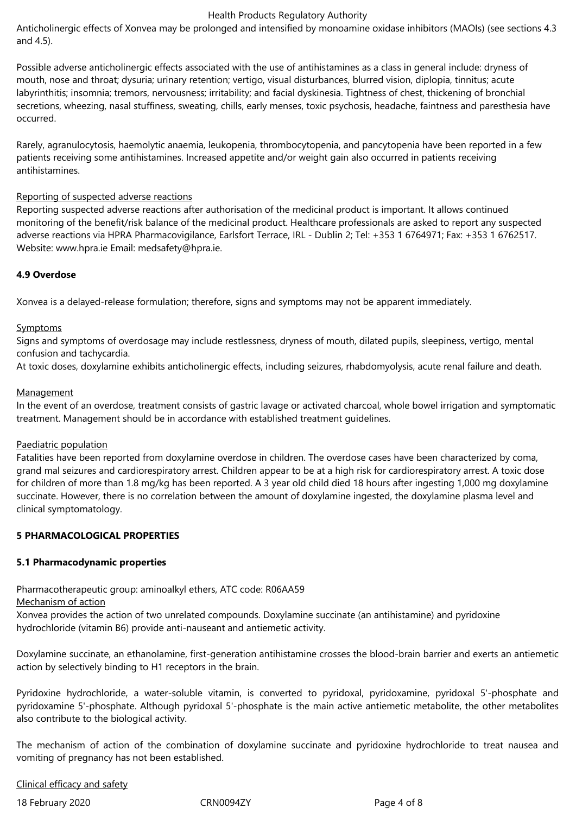#### Health Products Regulatory Authority

Anticholinergic effects of Xonvea may be prolonged and intensified by monoamine oxidase inhibitors (MAOIs) (see sections 4.3 and 4.5).

Possible adverse anticholinergic effects associated with the use of antihistamines as a class in general include: dryness of mouth, nose and throat; dysuria; urinary retention; vertigo, visual disturbances, blurred vision, diplopia, tinnitus; acute labyrinthitis; insomnia; tremors, nervousness; irritability; and facial dyskinesia. Tightness of chest, thickening of bronchial secretions, wheezing, nasal stuffiness, sweating, chills, early menses, toxic psychosis, headache, faintness and paresthesia have occurred.

Rarely, agranulocytosis, haemolytic anaemia, leukopenia, thrombocytopenia, and pancytopenia have been reported in a few patients receiving some antihistamines. Increased appetite and/or weight gain also occurred in patients receiving antihistamines.

#### Reporting of suspected adverse reactions

Reporting suspected adverse reactions after authorisation of the medicinal product is important. It allows continued monitoring of the benefit/risk balance of the medicinal product. Healthcare professionals are asked to report any suspected adverse reactions via HPRA Pharmacovigilance, Earlsfort Terrace, IRL - Dublin 2; Tel: +353 1 6764971; Fax: +353 1 6762517. Website: www.hpra.ie Email: medsafety@hpra.ie.

#### **4.9 Overdose**

Xonvea is a delayed-release formulation; therefore, signs and symptoms may not be apparent immediately.

#### Symptoms

Signs and symptoms of overdosage may include restlessness, dryness of mouth, dilated pupils, sleepiness, vertigo, mental confusion and tachycardia.

At toxic doses, doxylamine exhibits anticholinergic effects, including seizures, rhabdomyolysis, acute renal failure and death.

#### Management

In the event of an overdose, treatment consists of gastric lavage or activated charcoal, whole bowel irrigation and symptomatic treatment. Management should be in accordance with established treatment guidelines.

#### Paediatric population

Fatalities have been reported from doxylamine overdose in children. The overdose cases have been characterized by coma, grand mal seizures and cardiorespiratory arrest. Children appear to be at a high risk for cardiorespiratory arrest. A toxic dose for children of more than 1.8 mg/kg has been reported. A 3 year old child died 18 hours after ingesting 1,000 mg doxylamine succinate. However, there is no correlation between the amount of doxylamine ingested, the doxylamine plasma level and clinical symptomatology.

## **5 PHARMACOLOGICAL PROPERTIES**

#### **5.1 Pharmacodynamic properties**

Pharmacotherapeutic group: aminoalkyl ethers, ATC code: R06AA59

#### Mechanism of action

Xonvea provides the action of two unrelated compounds. Doxylamine succinate (an antihistamine) and pyridoxine hydrochloride (vitamin B6) provide anti-nauseant and antiemetic activity.

Doxylamine succinate, an ethanolamine, first-generation antihistamine crosses the blood-brain barrier and exerts an antiemetic action by selectively binding to H1 receptors in the brain.

Pyridoxine hydrochloride, a water-soluble vitamin, is converted to pyridoxal, pyridoxamine, pyridoxal 5'-phosphate and pyridoxamine 5'-phosphate. Although pyridoxal 5'-phosphate is the main active antiemetic metabolite, the other metabolites also contribute to the biological activity.

The mechanism of action of the combination of doxylamine succinate and pyridoxine hydrochloride to treat nausea and vomiting of pregnancy has not been established.

#### Clinical efficacy and safety

18 February 2020 CRN0094ZY Page 4 of 8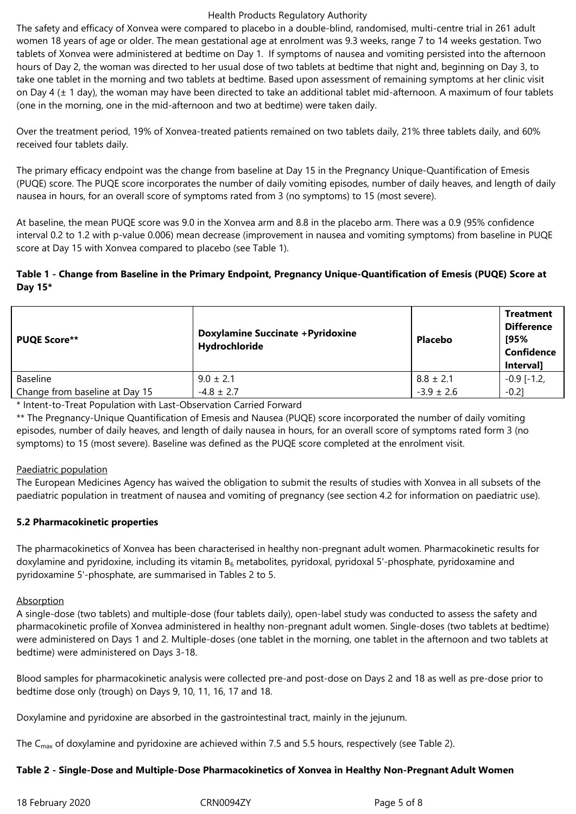#### Health Products Regulatory Authority

The safety and efficacy of Xonvea were compared to placebo in a double-blind, randomised, multi-centre trial in 261 adult women 18 years of age or older. The mean gestational age at enrolment was 9.3 weeks, range 7 to 14 weeks gestation. Two tablets of Xonvea were administered at bedtime on Day 1. If symptoms of nausea and vomiting persisted into the afternoon hours of Day 2, the woman was directed to her usual dose of two tablets at bedtime that night and, beginning on Day 3, to take one tablet in the morning and two tablets at bedtime. Based upon assessment of remaining symptoms at her clinic visit on Day 4 (± 1 day), the woman may have been directed to take an additional tablet mid-afternoon. A maximum of four tablets (one in the morning, one in the mid-afternoon and two at bedtime) were taken daily.

Over the treatment period, 19% of Xonvea-treated patients remained on two tablets daily, 21% three tablets daily, and 60% received four tablets daily.

The primary efficacy endpoint was the change from baseline at Day 15 in the Pregnancy Unique-Quantification of Emesis (PUQE) score. The PUQE score incorporates the number of daily vomiting episodes, number of daily heaves, and length of daily nausea in hours, for an overall score of symptoms rated from 3 (no symptoms) to 15 (most severe).

At baseline, the mean PUQE score was 9.0 in the Xonvea arm and 8.8 in the placebo arm. There was a 0.9 (95% confidence interval 0.2 to 1.2 with p-value 0.006) mean decrease (improvement in nausea and vomiting symptoms) from baseline in PUQE score at Day 15 with Xonvea compared to placebo (see Table 1).

# **Table 1 - Change from Baseline in the Primary Endpoint, Pregnancy Unique-Quantification of Emesis (PUQE) Score at Day 15\***

| <b>PUQE Score**</b>            | <b>Doxylamine Succinate + Pyridoxine</b><br>Hydrochloride | Placebo        | <b>Treatment</b><br><b>Difference</b><br>[95%<br><b>Confidence</b><br>Interval] |
|--------------------------------|-----------------------------------------------------------|----------------|---------------------------------------------------------------------------------|
| <b>Baseline</b>                | $9.0 \pm 2.1$                                             | $8.8 \pm 2.1$  | $-0.9$ [ $-1.2$ ]                                                               |
| Change from baseline at Day 15 | $-4.8 \pm 2.7$                                            | $-3.9 \pm 2.6$ | $-0.21$                                                                         |

\* Intent-to-Treat Population with Last-Observation Carried Forward

\*\* The Pregnancy-Unique Quantification of Emesis and Nausea (PUQE) score incorporated the number of daily vomiting episodes, number of daily heaves, and length of daily nausea in hours, for an overall score of symptoms rated form 3 (no symptoms) to 15 (most severe). Baseline was defined as the PUQE score completed at the enrolment visit.

#### Paediatric population

The European Medicines Agency has waived the obligation to submit the results of studies with Xonvea in all subsets of the paediatric population in treatment of nausea and vomiting of pregnancy (see section 4.2 for information on paediatric use).

# **5.2 Pharmacokinetic properties**

The pharmacokinetics of Xonvea has been characterised in healthy non-pregnant adult women. Pharmacokinetic results for doxylamine and pyridoxine, including its vitamin  $B_6$  metabolites, pyridoxal, pyridoxal 5'-phosphate, pyridoxamine and pyridoxamine 5'-phosphate, are summarised in Tables 2 to 5.

#### Absorption

A single-dose (two tablets) and multiple-dose (four tablets daily), open-label study was conducted to assess the safety and pharmacokinetic profile of Xonvea administered in healthy non-pregnant adult women. Single-doses (two tablets at bedtime) were administered on Days 1 and 2. Multiple-doses (one tablet in the morning, one tablet in the afternoon and two tablets at bedtime) were administered on Days 3-18.

Blood samples for pharmacokinetic analysis were collected pre-and post-dose on Days 2 and 18 as well as pre-dose prior to bedtime dose only (trough) on Days 9, 10, 11, 16, 17 and 18.

Doxylamine and pyridoxine are absorbed in the gastrointestinal tract, mainly in the jejunum.

The  $C_{\text{max}}$  of doxylamine and pyridoxine are achieved within 7.5 and 5.5 hours, respectively (see Table 2).

# **Table 2 - Single-Dose and Multiple-Dose Pharmacokinetics of Xonvea in Healthy Non-Pregnant Adult Women**

18 February 2020 CRN0094ZY Page 5 of 8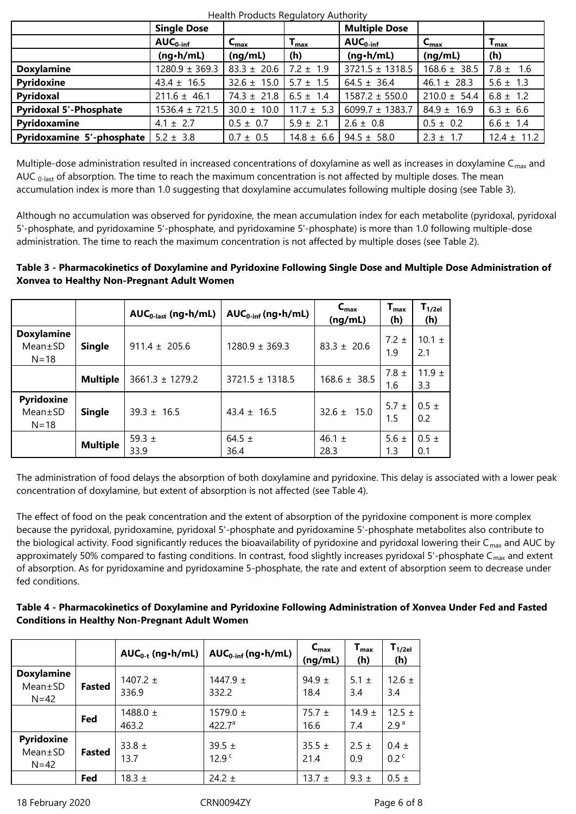|                                  | <b>Single Dose</b>   |                  |                           | <b>Multiple Dose</b> |                  |                           |
|----------------------------------|----------------------|------------------|---------------------------|----------------------|------------------|---------------------------|
|                                  | $AUC_{0\text{-inf}}$ | $C_{\text{max}}$ | $\mathbf{I}_{\text{max}}$ | $AUC0-int$           | $C_{\text{max}}$ | $\mathbf{I}_{\text{max}}$ |
|                                  | $(ng\cdot h/mL)$     | (nq/mL)          | (h)                       | $(nq \cdot h/mL)$    | (nq/mL)          | (h)                       |
| <b>Doxylamine</b>                | $1280.9 \pm 369.3$   | $83.3 \pm 20.6$  | $7.2 \pm 1.9$             | $3721.5 \pm 1318.5$  | $168.6 \pm 38.5$ | $7.8 \pm 1.6$             |
| Pyridoxine                       | $43.4 \pm 16.5$      | $32.6 \pm 15.0$  | $5.7 \pm 1.5$             | $64.5 \pm 36.4$      | $46.1 \pm 28.3$  | $5.6 \pm 1.3$             |
| Pyridoxal                        | $211.6 \pm 46.1$     | $74.3 \pm 21.8$  | $6.5 \pm 1.4$             | $1587.2 \pm 550.0$   | $210.0 \pm 54.4$ | $6.8 \pm 1.2$             |
| <b>Pyridoxal 5'-Phosphate</b>    | $1536.4 \pm 721.5$   | $30.0 \pm 10.0$  | $11.7 \pm 5.3$            | 6099.7 $\pm$ 1383.7  | $84.9 \pm 16.9$  | $6.3 \pm 6.6$             |
| Pyridoxamine                     | $4.1 \pm 2.7$        | $0.5 \pm 0.7$    | $5.9 \pm 2.1$             | $2.6 \pm 0.8$        | $0.5 \pm 0.2$    | $6.6 \pm 1.4$             |
| <b>Pyridoxamine 5'-phosphate</b> | $5.2 \pm 3.8$        | $0.7 \pm 0.5$    | $14.8 \pm 6.6$            | $94.5 \pm 58.0$      | $2.3 \pm 1.7$    | $12.4 \pm 11.2$           |

Health Products Regulatory Authority

Multiple-dose administration resulted in increased concentrations of doxylamine as well as increases in doxylamine  $C_{\text{max}}$  and AUC  $0$ -last of absorption. The time to reach the maximum concentration is not affected by multiple doses. The mean accumulation index is more than 1.0 suggesting that doxylamine accumulates following multiple dosing (see Table 3).

Although no accumulation was observed for pyridoxine, the mean accumulation index for each metabolite (pyridoxal, pyridoxal 5'-phosphate, and pyridoxamine 5'-phosphate, and pyridoxamine 5'-phosphate) is more than 1.0 following multiple-dose administration. The time to reach the maximum concentration is not affected by multiple doses (see Table 2).

# **Table 3 - Pharmacokinetics of Doxylamine and Pyridoxine Following Single Dose and Multiple Dose Administration of Xonvea to Healthy Non-Pregnant Adult Women**

|                                                |                 | $AUC_{0-last}$ (ng · h/mL) | $AUC_{0\text{-inf}}$ (ng · h/mL) | $C_{\text{max}}$<br>(ng/mL) | $\mathbf{T}_{\text{max}}$<br>(h) | $\mathsf{T}_{\mathsf{1/2el}}$<br>(h) |
|------------------------------------------------|-----------------|----------------------------|----------------------------------|-----------------------------|----------------------------------|--------------------------------------|
| <b>Doxylamine</b><br>$Mean \pm SD$<br>$N = 18$ | <b>Single</b>   | $911.4 \pm 205.6$          | $1280.9 \pm 369.3$               | $83.3 \pm 20.6$             | $7.2 \pm$<br>1.9                 | $10.1 \pm$<br>2.1                    |
|                                                | <b>Multiple</b> | $3661.3 \pm 1279.2$        | $3721.5 \pm 1318.5$              | $168.6 \pm 38.5$            | 7.8 $\pm$<br>1.6                 | 11.9 $\pm$<br>3.3                    |
| <b>Pyridoxine</b><br>$Mean \pm SD$<br>$N = 18$ | <b>Single</b>   | $39.3 \pm 16.5$            | $43.4 \pm 16.5$                  | $32.6 \pm 15.0$             | 5.7 $\pm$<br>1.5                 | $0.5 \pm$<br>0.2                     |
|                                                | <b>Multiple</b> | 59.3 $\pm$<br>33.9         | 64.5 $\pm$<br>36.4               | 46.1 $\pm$<br>28.3          | 5.6 $\pm$<br>1.3                 | $0.5 \pm$<br>0.1                     |

The administration of food delays the absorption of both doxylamine and pyridoxine. This delay is associated with a lower peak concentration of doxylamine, but extent of absorption is not affected (see Table 4).

The effect of food on the peak concentration and the extent of absorption of the pyridoxine component is more complex because the pyridoxal, pyridoxamine, pyridoxal 5'-phosphate and pyridoxamine 5'-phosphate metabolites also contribute to the biological activity. Food significantly reduces the bioavailability of pyridoxine and pyridoxal lowering their  $C_{\text{max}}$  and AUC by approximately 50% compared to fasting conditions. In contrast, food slightly increases pyridoxal 5'-phosphate  $C_{\text{max}}$  and extent of absorption. As for pyridoxamine and pyridoxamine 5-phosphate, the rate and extent of absorption seem to decrease under fed conditions.

# **Table 4 - Pharmacokinetics of Doxylamine and Pyridoxine Following Administration of Xonvea Under Fed and Fasted Conditions in Healthy Non-Pregnant Adult Women**

|                                              |               | $AUC_{0-t}$ (ng•h/mL) | $AUC_{0\text{-inf}}$ (ng · h/mL)   | $C_{\text{max}}$<br>(ng/mL) | $\mathsf{T}_{\mathsf{max}}$<br>(h) | $T_{1/2el}$<br>(h)             |
|----------------------------------------------|---------------|-----------------------|------------------------------------|-----------------------------|------------------------------------|--------------------------------|
| <b>Doxylamine</b><br>$Mean \pm SD$<br>$N=42$ | <b>Fasted</b> | 1407.2 $\pm$<br>336.9 | 1447.9 $\pm$<br>332.2              | 94.9 $\pm$<br>18.4          | 5.1 $\pm$<br>3.4                   | 12.6 $\pm$<br>3.4              |
|                                              | Fed           | 1488.0 $\pm$<br>463.2 | 1579.0 $\pm$<br>422.7 <sup>a</sup> | 75.7 $\pm$<br>16.6          | 14.9 $\pm$<br>7.4                  | 12.5 $\pm$<br>2.9 <sup>a</sup> |
| <b>Pyridoxine</b><br>Mean±SD<br>$N = 42$     | <b>Fasted</b> | 33.8 $\pm$<br>13.7    | 39.5 $\pm$<br>12.9 <sup>c</sup>    | 35.5 $\pm$<br>21.4          | $2.5 \pm$<br>0.9                   | $0.4 \pm$<br>0.2 <sup>c</sup>  |
|                                              | Fed           | 18.3 $\pm$            | 24.2 $\pm$                         | 13.7 $\pm$                  | $9.3 \pm$                          | $0.5 \pm$                      |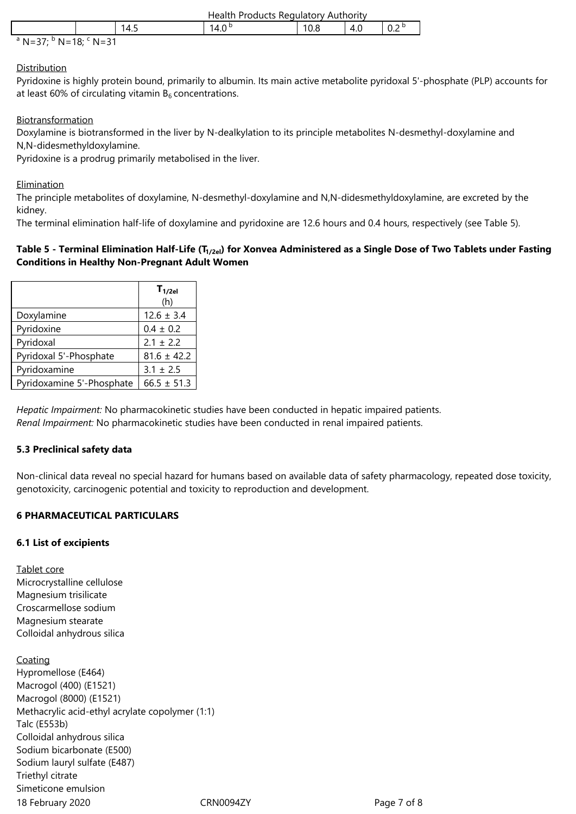|  | Health<br>Products Regulatory Authority |      |      |     |     |
|--|-----------------------------------------|------|------|-----|-----|
|  | 14.5                                    | '4.C | 10.8 | 4.U | 0.2 |
|  |                                         |      |      |     |     |

<sup>a</sup> N=37; <sup>b</sup> N=18; <sup>c</sup> N=31

## **Distribution**

Pyridoxine is highly protein bound, primarily to albumin. Its main active metabolite pyridoxal 5'-phosphate (PLP) accounts for at least 60% of circulating vitamin  $B_6$  concentrations.

## **Biotransformation**

Doxylamine is biotransformed in the liver by N-dealkylation to its principle metabolites N-desmethyl-doxylamine and N,N-didesmethyldoxylamine.

Pyridoxine is a prodrug primarily metabolised in the liver.

## Elimination

The principle metabolites of doxylamine, N-desmethyl-doxylamine and N,N-didesmethyldoxylamine, are excreted by the kidney.

The terminal elimination half-life of doxylamine and pyridoxine are 12.6 hours and 0.4 hours, respectively (see Table 5).

#### **Table 5 - Terminal Elimination Half-Life (T1/2el) for Xonvea Administered as a Single Dose of Two Tablets under Fasting Conditions in Healthy Non-Pregnant Adult Women**

|                           | $T_{1/2el}$<br>(h) |
|---------------------------|--------------------|
| Doxylamine                | $12.6 \pm 3.4$     |
| Pyridoxine                | $0.4 \pm 0.2$      |
| Pyridoxal                 | $2.1 \pm 2.2$      |
| Pyridoxal 5'-Phosphate    | $81.6 \pm 42.2$    |
| Pyridoxamine              | $3.1 \pm 2.5$      |
| Pyridoxamine 5'-Phosphate | $66.5 \pm 51.3$    |

*Hepatic Impairment:* No pharmacokinetic studies have been conducted in hepatic impaired patients. *Renal Impairment:* No pharmacokinetic studies have been conducted in renal impaired patients.

# **5.3 Preclinical safety data**

Non-clinical data reveal no special hazard for humans based on available data of safety pharmacology, repeated dose toxicity, genotoxicity, carcinogenic potential and toxicity to reproduction and development.

# **6 PHARMACEUTICAL PARTICULARS**

#### **6.1 List of excipients**

Tablet core Microcrystalline cellulose Magnesium trisilicate Croscarmellose sodium Magnesium stearate Colloidal anhydrous silica

18 February 2020 CRN0094ZY Page 7 of 8 **Coating** Hypromellose (E464) Macrogol (400) (E1521) Macrogol (8000) (E1521) Methacrylic acid-ethyl acrylate copolymer (1:1) Talc (E553b) Colloidal anhydrous silica Sodium bicarbonate (E500) Sodium lauryl sulfate (E487) Triethyl citrate Simeticone emulsion